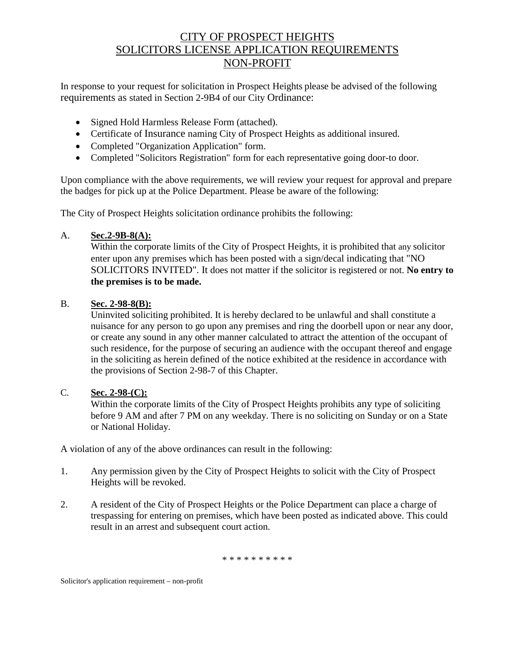# CITY OF PROSPECT HEIGHTS SOLICITORS LICENSE APPLICATION REQUIREMENTS NON-PROFIT

In response to your request for solicitation in Prospect Heights please be advised of the following requirements as stated in Section 2-9B4 of our City Ordinance:

- Signed Hold Harmless Release Form (attached).
- Certificate of Insurance naming City of Prospect Heights as additional insured.
- Completed "Organization Application" form.
- Completed "Solicitors Registration" form for each representative going door-to door.

Upon compliance with the above requirements, we will review your request for approval and prepare the badges for pick up at the Police Department. Please be aware of the following:

The City of Prospect Heights solicitation ordinance prohibits the following:

### A. **Sec.2-9B-8(A):**

Within the corporate limits of the City of Prospect Heights, it is prohibited that any solicitor enter upon any premises which has been posted with a sign/decal indicating that "NO SOLICITORS INVITED". It does not matter if the solicitor is registered or not. **No entry to the premises is to be made.**

#### B. **Sec. 2-98-8(B):**

Uninvited soliciting prohibited. It is hereby declared to be unlawful and shall constitute a nuisance for any person to go upon any premises and ring the doorbell upon or near any door, or create any sound in any other manner calculated to attract the attention of the occupant of such residence, for the purpose of securing an audience with the occupant thereof and engage in the soliciting as herein defined of the notice exhibited at the residence in accordance with the provisions of Section 2-98-7 of this Chapter.

### C. **Sec. 2-98-(C):**

Within the corporate limits of the City of Prospect Heights prohibits any type of soliciting before 9 AM and after 7 PM on any weekday. There is no soliciting on Sunday or on a State or National Holiday.

A violation of any of the above ordinances can result in the following:

- 1. Any permission given by the City of Prospect Heights to solicit with the City of Prospect Heights will be revoked.
- 2. A resident of the City of Prospect Heights or the Police Department can place a charge of trespassing for entering on premises, which have been posted as indicated above. This could result in an arrest and subsequent court action.

\* \* \* \* \* \* \* \* \*

Solicitor's application requirement – non-profit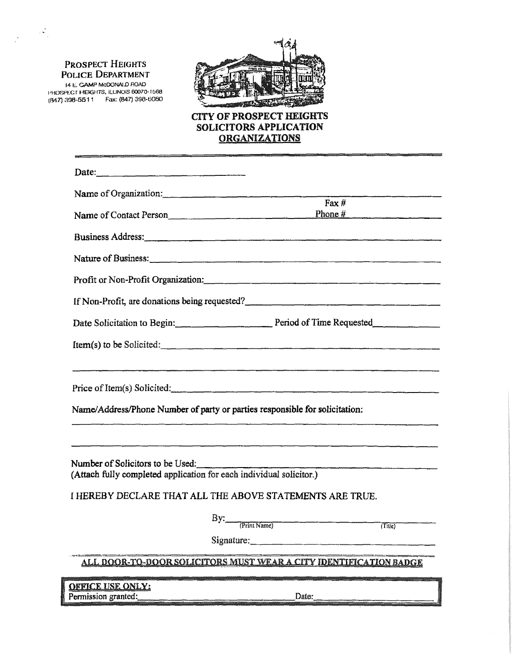#### PROSPECT HEIGHTS POLICE DEPARTMENT

 $\mathbb{R}^N$ 

14 F.:. CAMP McDONALD flOAD f'HmlffG r HEIGHTS. ILLJNOIS 60070-1068 (847) :ma-5511 Fax: (847) 398-0080



### CITY OF PROSPECT HEIGHTS SOLICITORS APPLICATION **ORGANIZATIONS**

| Date:                                                               |                                                                                                                       |
|---------------------------------------------------------------------|-----------------------------------------------------------------------------------------------------------------------|
| Name of Organization:                                               |                                                                                                                       |
| Name of Contact Person                                              | Fax $#$<br>Phone $#$                                                                                                  |
|                                                                     | Business Address:                                                                                                     |
|                                                                     | Nature of Business: <u>contained a series of Business and the series of Business and the series of Business</u>       |
|                                                                     |                                                                                                                       |
|                                                                     | If Non-Profit, are donations being requested?                                                                         |
|                                                                     | Date Solicitation to Begin: Period of Time Requested                                                                  |
|                                                                     | Item(s) to be Solicited:                                                                                              |
|                                                                     | .<br>1990 - Jan Jacob Jacob Jacob Jacob Jacob Jacob Jacob Jacob Jacob Jacob Jacob Jacob Jacob Jacob Jacob Jacob Jacob |
|                                                                     | Price of Item(s) Solicited:                                                                                           |
|                                                                     | Name/Address/Phone Number of party or parties responsible for solicitation:                                           |
|                                                                     |                                                                                                                       |
| Number of Solicitors to be Used:                                    |                                                                                                                       |
| (Attach fully completed application for each individual solicitor.) |                                                                                                                       |
|                                                                     | I HEREBY DECLARE THAT ALL THE ABOVE STATEMENTS ARE TRUE.                                                              |
|                                                                     | By: (Print Name)<br>$\overline{$ Titie}                                                                               |
|                                                                     | Signature:                                                                                                            |
|                                                                     | <u>ALL DOOR-TO-DOOR SOLICITORS MUST WEAR A CITY IDENTIFICATION BADGE</u>                                              |
| <u>OEFICE USE ONLY:</u>                                             |                                                                                                                       |
| Permission granted:                                                 | Date:                                                                                                                 |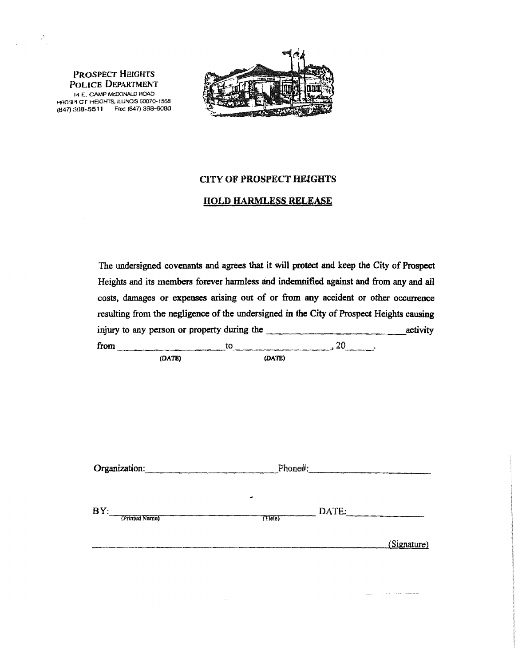PROSPECT HEIGHTS POLICE DEPARTMENT 14 E. CAMP McDONALD ROAD pfl(l!)l'f er HEIGHTS, ILLINOIS 00070-1568 (847) :1:1:2:2:2:11 Fax: (847) 398-6080

 $\sim 10$ 

 $\frac{1}{\sqrt{2\pi}}\left(\frac{1}{2}\right)^{2}=\frac{1}{2}\sum_{i=1}^{2}\frac{1}{2i}$ 



### CITY OF PROSPECT HEIGHTS

### HOLD HARMLESS RELEASE

| The undersigned covenants and agrees that it will protect and keep the City of Prospect  |                          |                            |             |
|------------------------------------------------------------------------------------------|--------------------------|----------------------------|-------------|
| Heights and its members forever harmless and indemnified against and from any and all    |                          |                            |             |
| costs, damages or expenses arising out of or from any accident or other occurrence       |                          |                            |             |
| resulting from the negligence of the undersigned in the City of Prospect Heights causing |                          |                            |             |
|                                                                                          |                          |                            |             |
| from $\qquad \qquad \text{to} \qquad \qquad 20$                                          |                          |                            |             |
| (DATE)                                                                                   | (DATE)                   |                            |             |
|                                                                                          |                          |                            |             |
|                                                                                          |                          |                            |             |
|                                                                                          |                          |                            |             |
|                                                                                          |                          |                            |             |
|                                                                                          |                          |                            |             |
|                                                                                          |                          |                            |             |
| Organization: Phone#:                                                                    |                          |                            |             |
|                                                                                          |                          |                            |             |
|                                                                                          |                          |                            |             |
| BY: (Printed Name)                                                                       | $T$ Tiele $\overline{r}$ | $\overline{\text{DATE}}$ : |             |
|                                                                                          |                          |                            |             |
|                                                                                          |                          |                            | (Signature) |
|                                                                                          |                          |                            |             |

 $\sim$ 

 $\label{eq:12} \alpha_{\rm DFT}(\tau) = \frac{1}{\tau} \left( \frac{\partial}{\partial \tau} \, \partial_{\tau} \, \partial_{\tau} \, \partial_{\tau} \, \partial_{\tau} \, \partial_{\tau} \, \partial_{\tau} \, \partial_{\tau} \, \partial_{\tau} \, \partial_{\tau} \, \partial_{\tau} \, \partial_{\tau} \, \partial_{\tau} \, \partial_{\tau} \, \partial_{\tau} \, \partial_{\tau} \, \partial_{\tau} \, \partial_{\tau} \, \partial_{\tau} \, \partial_{\tau} \, \partial_{\tau} \, \partial_{\tau} \, \partial_{\tau} \, \$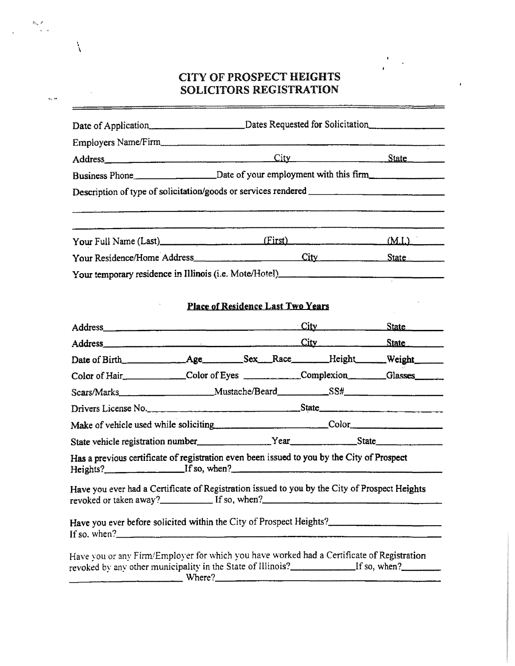# **CITY OF PROSPECT HEIGHTS** SOLICITORS REGISTRATION

 $\hbar \omega$  /

 $\frac{1}{2}$ 

 $\lambda$ 

|                             | Employers Name/Firm                                                                                  |                  |
|-----------------------------|------------------------------------------------------------------------------------------------------|------------------|
|                             |                                                                                                      | City State State |
|                             | Business Phone_________________________Date of your employment with this firm_______________________ |                  |
|                             | Description of type of solicitation/goods or services rendered __________________                    |                  |
|                             | Your Full Name (Last) [First]                                                                        | (M.L.)           |
| Your Residence/Home Address | City                                                                                                 | State            |
|                             | Your temporary residence in Illinois (i.e. Mote/Hotel)                                               |                  |

## **Place of Residence Last Two Years**

| Address and the contract of the contract of the contract of the contract of the contract of the contract of the contract of the contract of the contract of the contract of the contract of the contract of the contract of th |  |  | City State |
|--------------------------------------------------------------------------------------------------------------------------------------------------------------------------------------------------------------------------------|--|--|------------|
|                                                                                                                                                                                                                                |  |  |            |
|                                                                                                                                                                                                                                |  |  |            |
| Color of Hair Color of Eyes Complexion Glasses Complexion                                                                                                                                                                      |  |  |            |
| Scars/Marks Mustache/Beard SS# SS#                                                                                                                                                                                             |  |  |            |
| Drivers License No.                                                                                                                                                                                                            |  |  |            |
| Make of vehicle used while soliciting Color Color                                                                                                                                                                              |  |  |            |
|                                                                                                                                                                                                                                |  |  |            |
| Has a previous certificate of registration even been issued to you by the City of Prospect                                                                                                                                     |  |  |            |
| Have you ever had a Certificate of Registration issued to you by the City of Prospect Heights                                                                                                                                  |  |  |            |
| If so, when?                                                                                                                                                                                                                   |  |  |            |
| Have you or any Firm/Employer for which you have worked had a Certificate of Registration<br>revoked by any other municipality in the State of Illinois?________________If so, when?____________<br>Where?                     |  |  |            |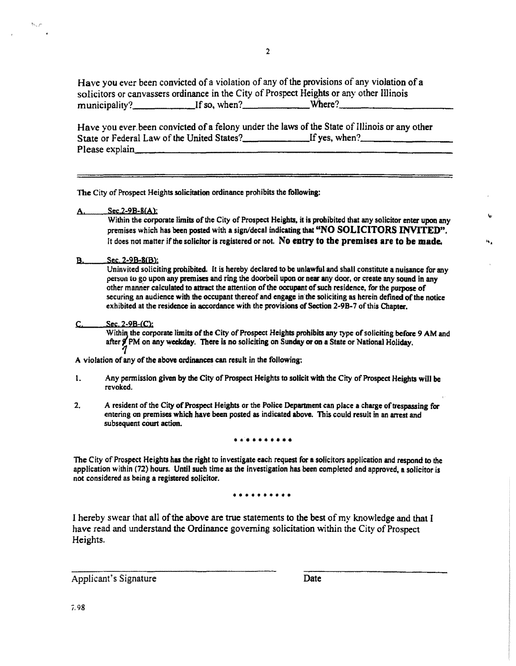Have you ever been convicted of a violation of any of the provisions of any violation of a solicitors or canvassers ordinance in the City of Prospect Heights or any other Illinois municipality? If so, when? Where?

Have you ever been convicted of a felony under the laws of the State of Illinois or any other State or Federal Law of the United States? If yes, when? \_\_\_\_\_\_\_ \_ Please explain. \_\_\_\_\_\_\_\_\_\_\_\_\_\_\_\_\_\_\_\_\_\_\_\_\_\_\_\_\_ \_

The City of Prospect Heights solicitation ordinance prohibits the following:

Sec.2-9B-8(A):

Within the corporate limits of the City of Prospect Heights, it is prohibited that any solicitor enter upon any premises which has been posted with a sign/decal indicating that "NO SOLICITORS INVITED". It does not matter if the solicitor is registered or not. No entry to the premises are to be made.

•••

B. Sec. 2-9B-8CB):

Uninvited soliciting prohibited. It is hereby declared to be unlawful.and shall constitute a nuisance for any person to go upon any premises and ring the doorbeil upon or near any door, or create any sound in any other manner calculated to attract the attention of the occupant of such residence, for the purpose of securing an audience with the occupant thereof and engage in the soliciting as herein defined of the notice exhibited at the residence in accordance with the provisions of Section 2-9B-7 of this Chapter.

Sec. 2-9B-(C):

Within the corporate limits of the City of Prospect Heights prohibits any type of soliciting before 9 AM and after 9 PM on any weekday. There is no soliciting on Sunday or on a State or National Holiday.

A violation of any of the above ordinances can result in the following:

- l. Any permission given by the City of Prospect Heights to solicit with the City of Prospect Heights will be revoked.
- 2. A resident of the City of Prospect Heights or the Police Department can place a charge of trespassing for entering on premises which have been posted as indicated above. This could result in an arrest and subsequent court action.

• •••••••••

The City of Prospect Heights has the right to investigate each request for a solicitors application and respond to the application within (72) hours. Until such time as the investigation has been completed and approved, a solicitor is not considered as being a registered solicitor.

• • • • • • • • • •

I hereby swear that all of the above are true statements to the best of my knowledge and that I have read and understand the Ordinance governing solicitation within the City of Prospect Heights.

Applicant's Signature Date